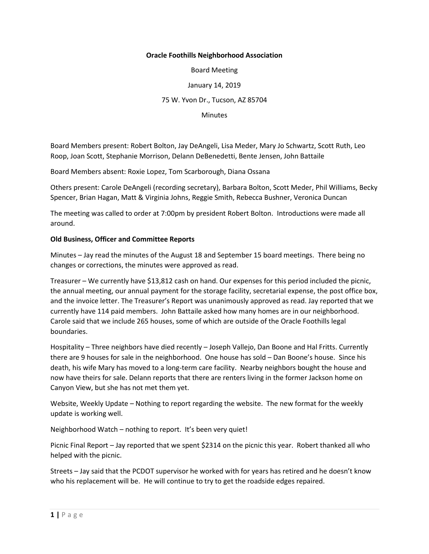## **Oracle Foothills Neighborhood Association**

Board Meeting

January 14, 2019

75 W. Yvon Dr., Tucson, AZ 85704

**Minutes** 

Board Members present: Robert Bolton, Jay DeAngeli, Lisa Meder, Mary Jo Schwartz, Scott Ruth, Leo Roop, Joan Scott, Stephanie Morrison, Delann DeBenedetti, Bente Jensen, John Battaile

Board Members absent: Roxie Lopez, Tom Scarborough, Diana Ossana

Others present: Carole DeAngeli (recording secretary), Barbara Bolton, Scott Meder, Phil Williams, Becky Spencer, Brian Hagan, Matt & Virginia Johns, Reggie Smith, Rebecca Bushner, Veronica Duncan

The meeting was called to order at 7:00pm by president Robert Bolton. Introductions were made all around.

## **Old Business, Officer and Committee Reports**

Minutes – Jay read the minutes of the August 18 and September 15 board meetings. There being no changes or corrections, the minutes were approved as read.

Treasurer – We currently have \$13,812 cash on hand. Our expenses for this period included the picnic, the annual meeting, our annual payment for the storage facility, secretarial expense, the post office box, and the invoice letter. The Treasurer's Report was unanimously approved as read. Jay reported that we currently have 114 paid members. John Battaile asked how many homes are in our neighborhood. Carole said that we include 265 houses, some of which are outside of the Oracle Foothills legal boundaries.

Hospitality – Three neighbors have died recently – Joseph Vallejo, Dan Boone and Hal Fritts. Currently there are 9 houses for sale in the neighborhood. One house has sold – Dan Boone's house. Since his death, his wife Mary has moved to a long-term care facility. Nearby neighbors bought the house and now have theirs for sale. Delann reports that there are renters living in the former Jackson home on Canyon View, but she has not met them yet.

Website, Weekly Update – Nothing to report regarding the website. The new format for the weekly update is working well.

Neighborhood Watch – nothing to report. It's been very quiet!

Picnic Final Report – Jay reported that we spent \$2314 on the picnic this year. Robert thanked all who helped with the picnic.

Streets – Jay said that the PCDOT supervisor he worked with for years has retired and he doesn't know who his replacement will be. He will continue to try to get the roadside edges repaired.